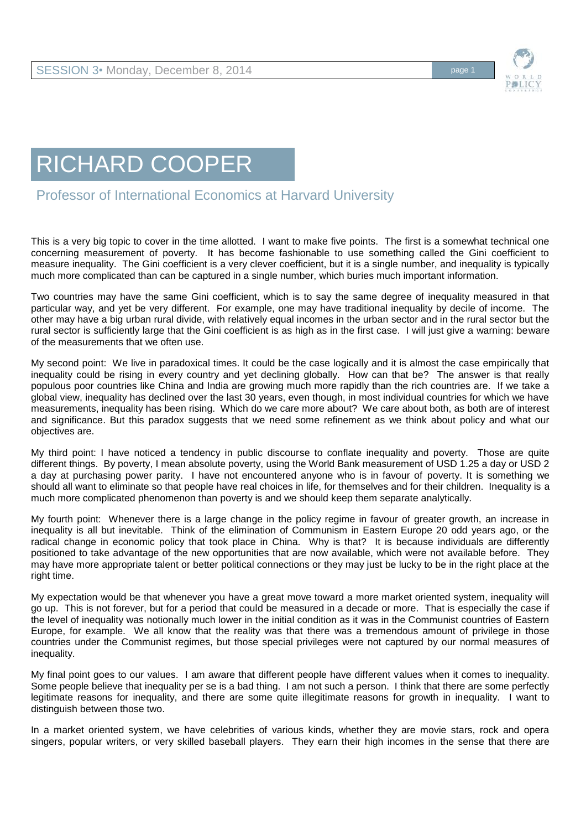

## RICHARD COOPER

## Professor of International Economics at Harvard University

This is a very big topic to cover in the time allotted. I want to make five points. The first is a somewhat technical one concerning measurement of poverty. It has become fashionable to use something called the Gini coefficient to measure inequality. The Gini coefficient is a very clever coefficient, but it is a single number, and inequality is typically much more complicated than can be captured in a single number, which buries much important information.

Two countries may have the same Gini coefficient, which is to say the same degree of inequality measured in that particular way, and yet be very different. For example, one may have traditional inequality by decile of income. The other may have a big urban rural divide, with relatively equal incomes in the urban sector and in the rural sector but the rural sector is sufficiently large that the Gini coefficient is as high as in the first case. I will just give a warning: beware of the measurements that we often use.

My second point: We live in paradoxical times. It could be the case logically and it is almost the case empirically that inequality could be rising in every country and yet declining globally. How can that be? The answer is that really populous poor countries like China and India are growing much more rapidly than the rich countries are. If we take a global view, inequality has declined over the last 30 years, even though, in most individual countries for which we have measurements, inequality has been rising. Which do we care more about? We care about both, as both are of interest and significance. But this paradox suggests that we need some refinement as we think about policy and what our objectives are.

My third point: I have noticed a tendency in public discourse to conflate inequality and poverty. Those are quite different things. By poverty, I mean absolute poverty, using the World Bank measurement of USD 1.25 a day or USD 2 a day at purchasing power parity. I have not encountered anyone who is in favour of poverty. It is something we should all want to eliminate so that people have real choices in life, for themselves and for their children. Inequality is a much more complicated phenomenon than poverty is and we should keep them separate analytically.

My fourth point: Whenever there is a large change in the policy regime in favour of greater growth, an increase in inequality is all but inevitable. Think of the elimination of Communism in Eastern Europe 20 odd years ago, or the radical change in economic policy that took place in China. Why is that? It is because individuals are differently positioned to take advantage of the new opportunities that are now available, which were not available before. They may have more appropriate talent or better political connections or they may just be lucky to be in the right place at the right time.

My expectation would be that whenever you have a great move toward a more market oriented system, inequality will go up. This is not forever, but for a period that could be measured in a decade or more. That is especially the case if the level of inequality was notionally much lower in the initial condition as it was in the Communist countries of Eastern Europe, for example. We all know that the reality was that there was a tremendous amount of privilege in those countries under the Communist regimes, but those special privileges were not captured by our normal measures of inequality.

My final point goes to our values. I am aware that different people have different values when it comes to inequality. Some people believe that inequality per se is a bad thing. I am not such a person. I think that there are some perfectly legitimate reasons for inequality, and there are some quite illegitimate reasons for growth in inequality. I want to distinguish between those two.

In a market oriented system, we have celebrities of various kinds, whether they are movie stars, rock and opera singers, popular writers, or very skilled baseball players. They earn their high incomes in the sense that there are